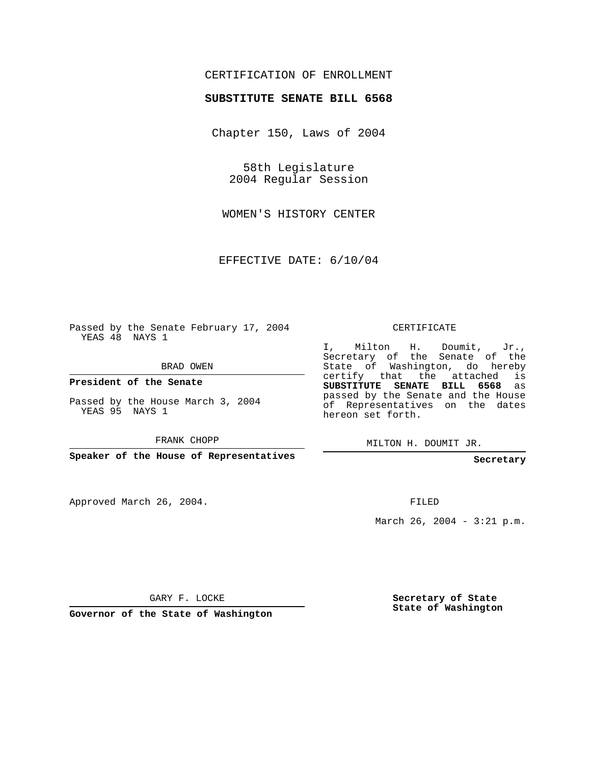## CERTIFICATION OF ENROLLMENT

## **SUBSTITUTE SENATE BILL 6568**

Chapter 150, Laws of 2004

58th Legislature 2004 Regular Session

WOMEN'S HISTORY CENTER

EFFECTIVE DATE: 6/10/04

Passed by the Senate February 17, 2004 YEAS 48 NAYS 1

BRAD OWEN

**President of the Senate**

Passed by the House March 3, 2004 YEAS 95 NAYS 1

FRANK CHOPP

**Speaker of the House of Representatives**

Approved March 26, 2004.

CERTIFICATE

I, Milton H. Doumit, Jr., Secretary of the Senate of the State of Washington, do hereby certify that the attached is **SUBSTITUTE SENATE BILL 6568** as passed by the Senate and the House of Representatives on the dates hereon set forth.

MILTON H. DOUMIT JR.

**Secretary**

FILED

March 26, 2004 - 3:21 p.m.

GARY F. LOCKE

**Governor of the State of Washington**

**Secretary of State State of Washington**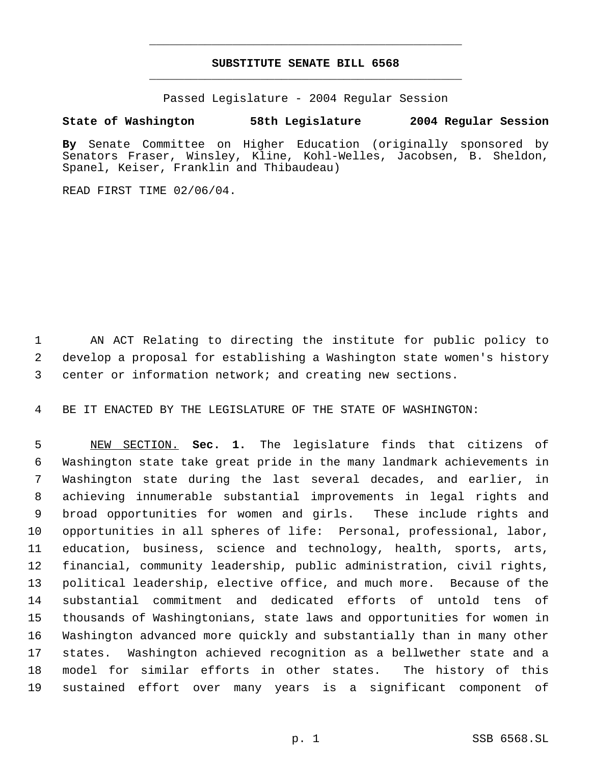## **SUBSTITUTE SENATE BILL 6568** \_\_\_\_\_\_\_\_\_\_\_\_\_\_\_\_\_\_\_\_\_\_\_\_\_\_\_\_\_\_\_\_\_\_\_\_\_\_\_\_\_\_\_\_\_

\_\_\_\_\_\_\_\_\_\_\_\_\_\_\_\_\_\_\_\_\_\_\_\_\_\_\_\_\_\_\_\_\_\_\_\_\_\_\_\_\_\_\_\_\_

Passed Legislature - 2004 Regular Session

## **State of Washington 58th Legislature 2004 Regular Session**

**By** Senate Committee on Higher Education (originally sponsored by Senators Fraser, Winsley, Kline, Kohl-Welles, Jacobsen, B. Sheldon, Spanel, Keiser, Franklin and Thibaudeau)

READ FIRST TIME 02/06/04.

 AN ACT Relating to directing the institute for public policy to develop a proposal for establishing a Washington state women's history center or information network; and creating new sections.

BE IT ENACTED BY THE LEGISLATURE OF THE STATE OF WASHINGTON:

 NEW SECTION. **Sec. 1.** The legislature finds that citizens of Washington state take great pride in the many landmark achievements in Washington state during the last several decades, and earlier, in achieving innumerable substantial improvements in legal rights and broad opportunities for women and girls. These include rights and opportunities in all spheres of life: Personal, professional, labor, education, business, science and technology, health, sports, arts, financial, community leadership, public administration, civil rights, political leadership, elective office, and much more. Because of the substantial commitment and dedicated efforts of untold tens of thousands of Washingtonians, state laws and opportunities for women in Washington advanced more quickly and substantially than in many other states. Washington achieved recognition as a bellwether state and a model for similar efforts in other states. The history of this sustained effort over many years is a significant component of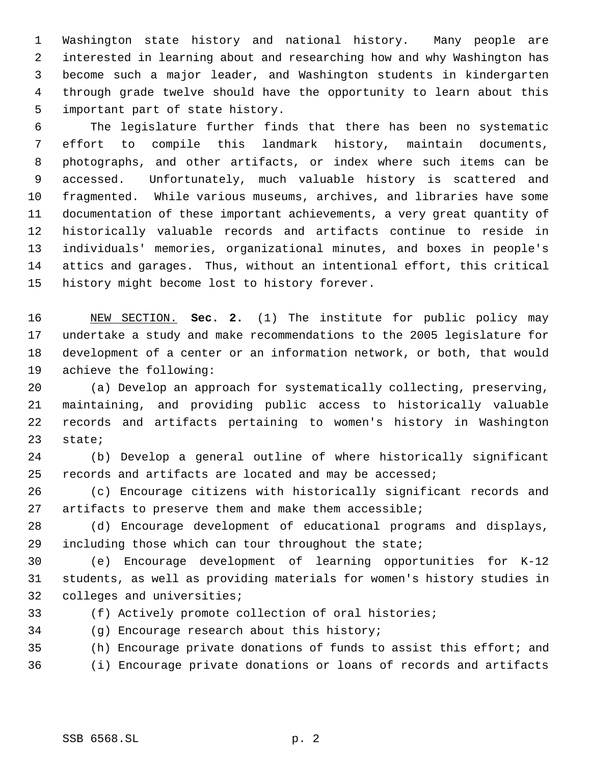Washington state history and national history. Many people are interested in learning about and researching how and why Washington has become such a major leader, and Washington students in kindergarten through grade twelve should have the opportunity to learn about this important part of state history.

 The legislature further finds that there has been no systematic effort to compile this landmark history, maintain documents, photographs, and other artifacts, or index where such items can be accessed. Unfortunately, much valuable history is scattered and fragmented. While various museums, archives, and libraries have some documentation of these important achievements, a very great quantity of historically valuable records and artifacts continue to reside in individuals' memories, organizational minutes, and boxes in people's attics and garages. Thus, without an intentional effort, this critical history might become lost to history forever.

 NEW SECTION. **Sec. 2.** (1) The institute for public policy may undertake a study and make recommendations to the 2005 legislature for development of a center or an information network, or both, that would achieve the following:

 (a) Develop an approach for systematically collecting, preserving, maintaining, and providing public access to historically valuable records and artifacts pertaining to women's history in Washington state;

 (b) Develop a general outline of where historically significant records and artifacts are located and may be accessed;

 (c) Encourage citizens with historically significant records and artifacts to preserve them and make them accessible;

 (d) Encourage development of educational programs and displays, including those which can tour throughout the state;

 (e) Encourage development of learning opportunities for K-12 students, as well as providing materials for women's history studies in colleges and universities;

(f) Actively promote collection of oral histories;

(g) Encourage research about this history;

(h) Encourage private donations of funds to assist this effort; and

(i) Encourage private donations or loans of records and artifacts